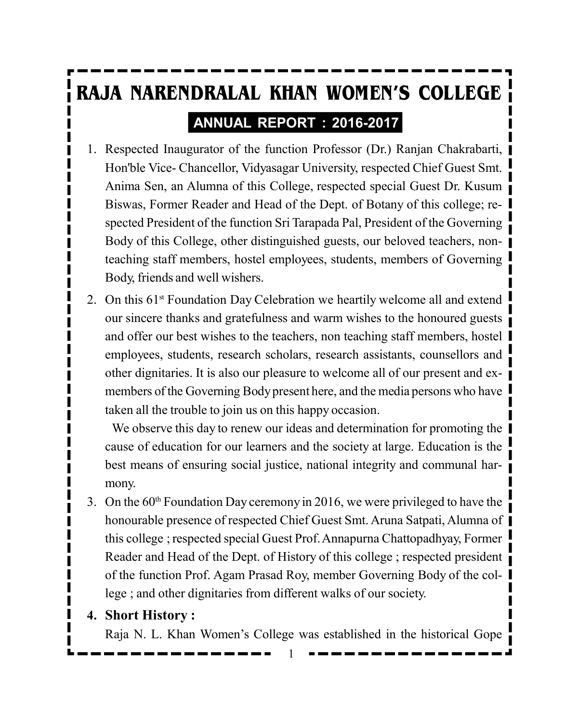# **RAJA NARENDRALAL KHAN WOMEN'S COLLEGE ANNUAL REPORT : 2016-2017**

- 1. Respected Inaugurator of the function Professor (Dr.) Ranjan Chakrabarti, Hon'ble Vice- Chancellor, Vidyasagar University, respected Chief Guest Smt. Anima Sen, an Alumna of this College, respected special Guest Dr. Kusum Biswas, Former Reader and Head of the Dept. of Botany of this college; respected President of the function Sri Tarapada Pal, President of the Governing Body of this College, other distinguished guests, our beloved teachers, nonteaching staff members, hostel employees, students, members of Governing Body, friends and well wishers.
- 2. On this  $61<sup>st</sup>$  Foundation Day Celebration we heartily welcome all and extend our sincere thanks and gratefulness and warm wishes to the honoured guests and offer our best wishes to the teachers, non teaching staff members, hostel employees, students, research scholars, research assistants, counsellors and other dignitaries. It is also our pleasure to welcome all of our present and exmembers of the Governing Body present here, and the media persons who have taken all the trouble to join us on this happy occasion.

We observe this day to renew our ideas and determination for promoting the cause of education for our learners and the society at large. Education is the best means of ensuring social justice, national integrity and communal harmony.

3. On the 60<sup>th</sup> Foundation Day ceremony in 2016, we were privileged to have the honourable presence of respected Chief Guest Smt. Aruna Satpati, Alumna of this college ; respected special Guest Prof. Annapurna Chattopadhyay, Former Reader and Head of the Dept. of History of this college ; respected president of the function Prof. Agam Prasad Roy, member Governing Body of the college ; and other dignitaries from different walks of our society.

#### **4. Short History :**

Raja N. L. Khan Women's College was established in the historical Gope

1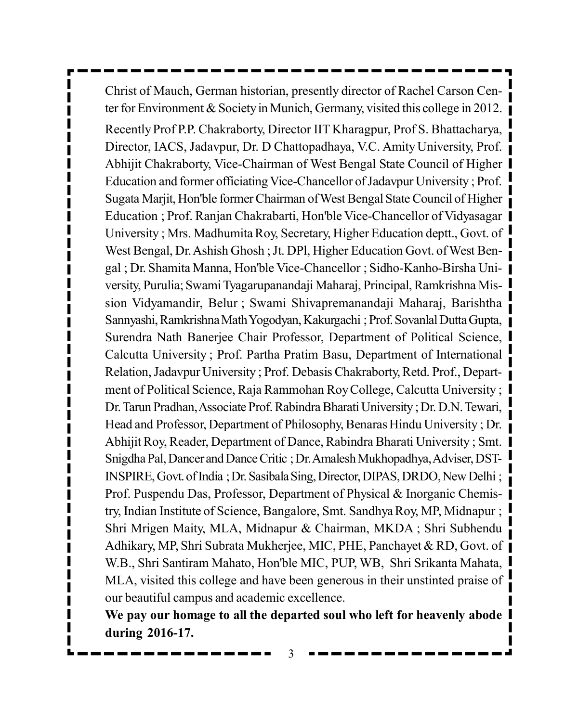Christ of Mauch, German historian, presently director of Rachel Carson Center for Environment & Society in Munich, Germany, visited this college in 2012. Recently Prof P.P. Chakraborty, Director IIT Kharagpur, Prof S. Bhattacharya, Director, IACS, Jadavpur, Dr. D Chattopadhaya, V.C. Amity University, Prof. Abhijit Chakraborty, Vice-Chairman of West Bengal State Council of Higher Education and former officiating Vice-Chancellor of Jadavpur University ; Prof. Sugata Marjit, Hon'ble former Chairman of West Bengal State Council of Higher Education ; Prof. Ranjan Chakrabarti, Hon'ble Vice-Chancellor of Vidyasagar University ; Mrs. Madhumita Roy, Secretary, Higher Education deptt., Govt. of West Bengal, Dr. Ashish Ghosh ; Jt. DPl, Higher Education Govt. of West Bengal ; Dr. Shamita Manna, Hon'ble Vice-Chancellor ; Sidho-Kanho-Birsha University, Purulia; Swami Tyagarupanandaji Maharaj, Principal, Ramkrishna Mission Vidyamandir, Belur ; Swami Shivapremanandaji Maharaj, Barishtha Sannyashi, Ramkrishna Math Yogodyan, Kakurgachi ; Prof. Sovanlal Dutta Gupta, Surendra Nath Banerjee Chair Professor, Department of Political Science, Calcutta University ; Prof. Partha Pratim Basu, Department of International Relation, Jadavpur University ; Prof. Debasis Chakraborty, Retd. Prof., Department of Political Science, Raja Rammohan Roy College, Calcutta University ; Dr. Tarun Pradhan, Associate Prof. Rabindra Bharati University ; Dr. D.N. Tewari, Head and Professor, Department of Philosophy, Benaras Hindu University ; Dr. Abhijit Roy, Reader, Department of Dance, Rabindra Bharati University ; Smt. Snigdha Pal, Dancer and Dance Critic ; Dr. Amalesh Mukhopadhya, Adviser, DST-INSPIRE, Govt. of India ; Dr. Sasibala Sing, Director, DIPAS, DRDO, New Delhi ; Prof. Puspendu Das, Professor, Department of Physical & Inorganic Chemistry, Indian Institute of Science, Bangalore, Smt. Sandhya Roy, MP, Midnapur ; Shri Mrigen Maity, MLA, Midnapur & Chairman, MKDA ; Shri Subhendu Adhikary, MP, Shri Subrata Mukherjee, MIC, PHE, Panchayet & RD, Govt. of W.B., Shri Santiram Mahato, Hon'ble MIC, PUP, WB, Shri Srikanta Mahata, MLA, visited this college and have been generous in their unstinted praise of our beautiful campus and academic excellence.

**We pay our homage to all the departed soul who left for heavenly abode during 2016-17.**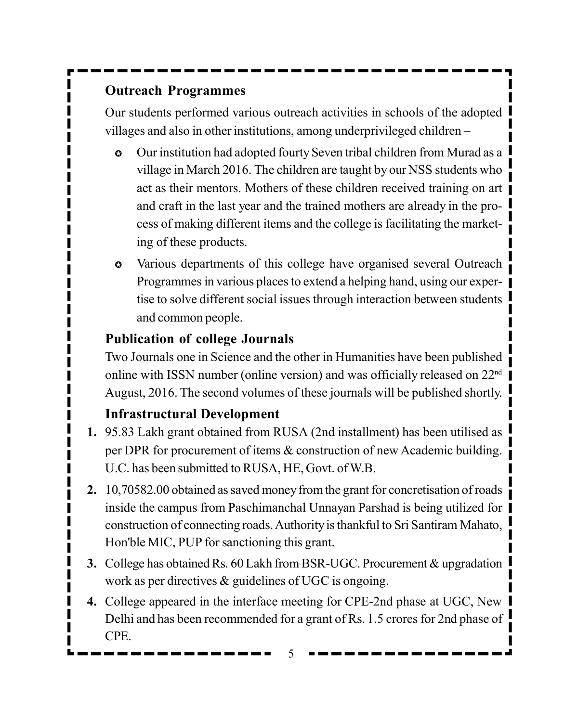# **Outreach Programmes**

Our students performed various outreach activities in schools of the adopted villages and also in other institutions, among underprivileged children –

- Our institution had adopted fourty Seven tribal children from Murad as a village in March 2016. The children are taught by our NSS students who act as their mentors. Mothers of these children received training on art and craft in the last year and the trained mothers are already in the process of making different items and the college is facilitating the marketing of these products.
- Various departments of this college have organised several Outreach Programmes in various places to extend a helping hand, using our expertise to solve different social issues through interaction between students and common people.

# **Publication of college Journals**

Two Journals one in Science and the other in Humanities have been published online with ISSN number (online version) and was officially released on 22nd August, 2016. The second volumes of these journals will be published shortly.

# **Infrastructural Development**

- **1.** 95.83 Lakh grant obtained from RUSA (2nd installment) has been utilised as per DPR for procurement of items & construction of new Academic building. U.C. has been submitted to RUSA, HE, Govt. of W.B.
- **2.** 10,70582.00 obtained as saved money from the grant for concretisation of roads inside the campus from Paschimanchal Unnayan Parshad is being utilized for construction of connecting roads. Authority is thankful to Sri Santiram Mahato, Hon'ble MIC, PUP for sanctioning this grant.
- **3.** College has obtained Rs. 60 Lakh from BSR-UGC. Procurement & upgradation work as per directives & guidelines of UGC is ongoing.
- **4.** College appeared in the interface meeting for CPE-2nd phase at UGC, New Delhi and has been recommended for a grant of Rs. 1.5 crores for 2nd phase of CPE.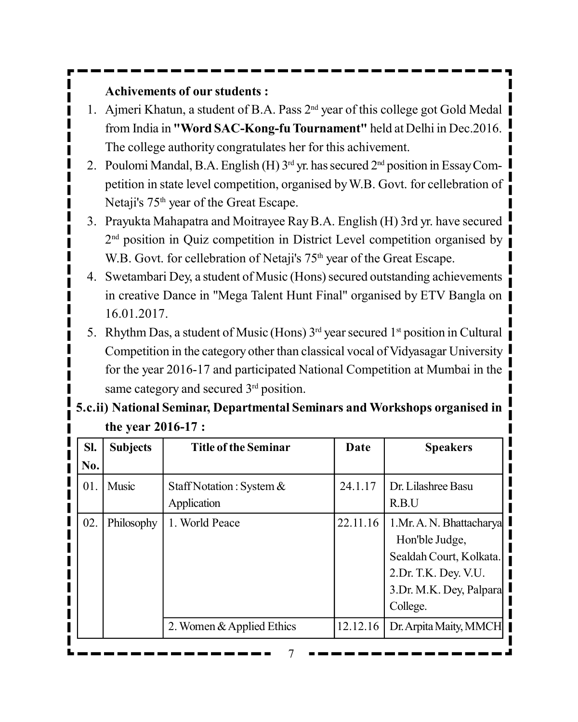#### **Achivements of our students :**

- 1. Ajmeri Khatun, a student of B.A. Pass 2<sup>nd</sup> year of this college got Gold Medal from India in **"Word SAC-Kong-fu Tournament"** held at Delhi in Dec.2016. The college authority congratulates her for this achivement.
- 2. Poulomi Mandal, B.A. English (H)  $3<sup>rd</sup>$  yr. has secured  $2<sup>nd</sup>$  position in Essay Competition in state level competition, organised by W.B. Govt. for cellebration of Netaji's 75<sup>th</sup> year of the Great Escape.
- 3. Prayukta Mahapatra and Moitrayee Ray B.A. English (H) 3rd yr. have secured 2<sup>nd</sup> position in Quiz competition in District Level competition organised by W.B. Govt. for cellebration of Netaji's 75<sup>th</sup> year of the Great Escape.
- 4. Swetambari Dey, a student of Music (Hons) secured outstanding achievements in creative Dance in "Mega Talent Hunt Final" organised by ETV Bangla on 16.01.2017.
- 5. Rhythm Das, a student of Music (Hons)  $3<sup>rd</sup>$  year secured  $1<sup>st</sup>$  position in Cultural Competition in the category other than classical vocal of Vidyasagar University for the year 2016-17 and participated National Competition at Mumbai in the same category and secured 3<sup>rd</sup> position.

|     | the year 2016-17 : |                                            |          |                                                                                                                                        |
|-----|--------------------|--------------------------------------------|----------|----------------------------------------------------------------------------------------------------------------------------------------|
| SI. | <b>Subjects</b>    | <b>Title of the Seminar</b>                | Date     | <b>Speakers</b>                                                                                                                        |
| No. |                    |                                            |          |                                                                                                                                        |
| 01. | Music              | Staff Notation: System $\&$<br>Application | 24.1.17  | Dr. Lilashree Basu<br>R.B.U                                                                                                            |
| 02. | Philosophy         | 1. World Peace                             | 22.11.16 | 1. Mr. A. N. Bhattacharya<br>Hon'ble Judge,<br>Sealdah Court, Kolkata.<br>2. Dr. T.K. Dey. V.U.<br>3.Dr. M.K. Dey, Palpara<br>College. |
|     |                    | 2. Women & Applied Ethics                  | 12.12.16 | Dr. Arpita Maity, MMCH                                                                                                                 |

# **5.c.ii) National Seminar, Departmental Seminars and Workshops organised in**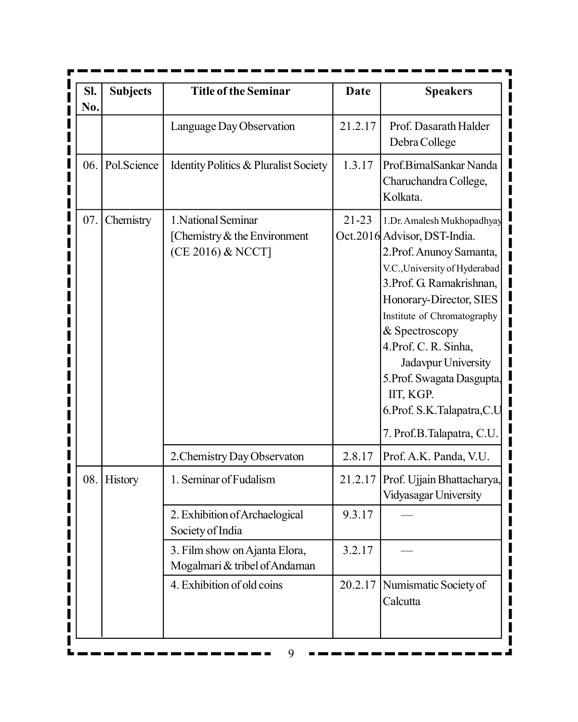| SI.<br>No. | <b>Subjects</b> | <b>Title of the Seminar</b>                                              | Date      | <b>Speakers</b>                                                                                                                                                                                                                                                                                                                                                                          |
|------------|-----------------|--------------------------------------------------------------------------|-----------|------------------------------------------------------------------------------------------------------------------------------------------------------------------------------------------------------------------------------------------------------------------------------------------------------------------------------------------------------------------------------------------|
|            |                 | Language Day Observation                                                 | 21.2.17   | Prof. Dasarath Halder<br>Debra College                                                                                                                                                                                                                                                                                                                                                   |
| 06.        | Pol.Science     | Identity Politics & Pluralist Society                                    | 1.3.17    | Prof.BimalSankar Nanda<br>Charuchandra College,<br>Kolkata.                                                                                                                                                                                                                                                                                                                              |
| 07.        | Chemistry       | 1. National Seminar<br>[Chemistry & the Environment<br>(CE 2016) & NCCT] | $21 - 23$ | 1.Dr. Amalesh Mukhopadhyay<br>Oct.2016 Advisor, DST-India.<br>2. Prof. Anunoy Samanta,<br>V.C., University of Hyderabad<br>3. Prof. G. Ramakrishnan,<br>Honorary-Director, SIES<br>Institute of Chromatography<br>& Spectroscopy<br>4. Prof. C. R. Sinha,<br>Jadavpur University<br>5. Prof. Swagata Dasgupta,<br>IIT, KGP.<br>6. Prof. S.K. Talapatra, C.U<br>7. Prof.B.Talapatra, C.U. |
|            |                 | 2. Chemistry Day Observaton                                              | 2.8.17    | Prof. A.K. Panda, V.U.                                                                                                                                                                                                                                                                                                                                                                   |
| 08.        | <b>History</b>  | 1. Seminar of Fudalism                                                   | 21.2.17   | Prof. Ujjain Bhattacharya,<br>Vidyasagar University                                                                                                                                                                                                                                                                                                                                      |
|            |                 | 2. Exhibition of Archaelogical<br>Society of India                       | 9.3.17    |                                                                                                                                                                                                                                                                                                                                                                                          |
|            |                 | 3. Film show on Ajanta Elora,<br>Mogalmari & tribel of Andaman           | 3.2.17    |                                                                                                                                                                                                                                                                                                                                                                                          |
|            |                 | 4. Exhibition of old coins                                               |           | 20.2.17 Numismatic Society of<br>Calcutta                                                                                                                                                                                                                                                                                                                                                |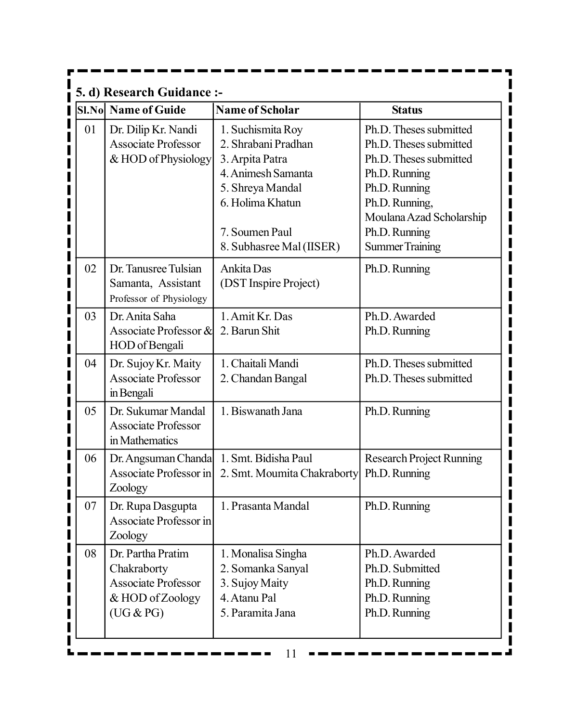|                             | 5. d) Research Guidance :-                                                                      |                                                                                                                                                                         |                                                                                                                                                                                                       |
|-----------------------------|-------------------------------------------------------------------------------------------------|-------------------------------------------------------------------------------------------------------------------------------------------------------------------------|-------------------------------------------------------------------------------------------------------------------------------------------------------------------------------------------------------|
|                             | <b>SI.No Name of Guide</b>                                                                      | <b>Name of Scholar</b>                                                                                                                                                  | <b>Status</b>                                                                                                                                                                                         |
| 01<br>I<br>I<br>I<br>I<br>I | Dr. Dilip Kr. Nandi<br><b>Associate Professor</b><br>& HOD of Physiology                        | 1. Suchismita Roy<br>2. Shrabani Pradhan<br>3. Arpita Patra<br>4. Animesh Samanta<br>5. Shreya Mandal<br>6. Holima Khatun<br>7. Soumen Paul<br>8. Subhasree Mal (IISER) | Ph.D. Theses submitted<br>Ph.D. Theses submitted<br>Ph.D. Theses submitted<br>Ph.D. Running<br>Ph.D. Running<br>Ph.D. Running,<br>Moulana Azad Scholarship<br>Ph.D. Running<br><b>Summer Training</b> |
| 02<br>I<br>I                | Dr. Tanusree Tulsian<br>Samanta, Assistant<br>Professor of Physiology                           | Ankita Das<br>(DST Inspire Project)                                                                                                                                     | Ph.D. Running                                                                                                                                                                                         |
| I<br>03<br>I<br>I<br>I      | Dr. Anita Saha<br>Associate Professor &<br>HOD of Bengali                                       | 1. Amit Kr. Das<br>2. Barun Shit                                                                                                                                        | Ph.D. Awarded<br>Ph.D. Running                                                                                                                                                                        |
| I<br>04<br>I<br>I           | Dr. Sujoy Kr. Maity<br><b>Associate Professor</b><br>in Bengali                                 | 1. Chaitali Mandi<br>2. Chandan Bangal                                                                                                                                  | Ph.D. Theses submitted<br>Ph.D. Theses submitted                                                                                                                                                      |
| 05<br>I<br>I<br>I           | Dr. Sukumar Mandal<br><b>Associate Professor</b><br>in Mathematics                              | 1. Biswanath Jana                                                                                                                                                       | Ph.D. Running                                                                                                                                                                                         |
| 06<br>I<br>I<br>I           | Dr. Angsuman Chanda<br>Associate Professor in<br>Zoology                                        | 1. Smt. Bidisha Paul<br>2. Smt. Moumita Chakraborty                                                                                                                     | <b>Research Project Running</b><br>Ph.D. Running                                                                                                                                                      |
| 07<br>I                     | Dr. Rupa Dasgupta<br>Associate Professor in<br>Zoology                                          | 1. Prasanta Mandal                                                                                                                                                      | Ph.D. Running                                                                                                                                                                                         |
| 08<br>I<br>I<br>I<br>I      | Dr. Partha Pratim<br>Chakraborty<br><b>Associate Professor</b><br>& HOD of Zoology<br>(UG & PG) | 1. Monalisa Singha<br>2. Somanka Sanyal<br>3. Sujoy Maity<br>4. Atanu Pal<br>5. Paramita Jana                                                                           | Ph.D. Awarded<br>Ph.D. Submitted<br>Ph.D. Running<br>Ph.D. Running<br>Ph.D. Running                                                                                                                   |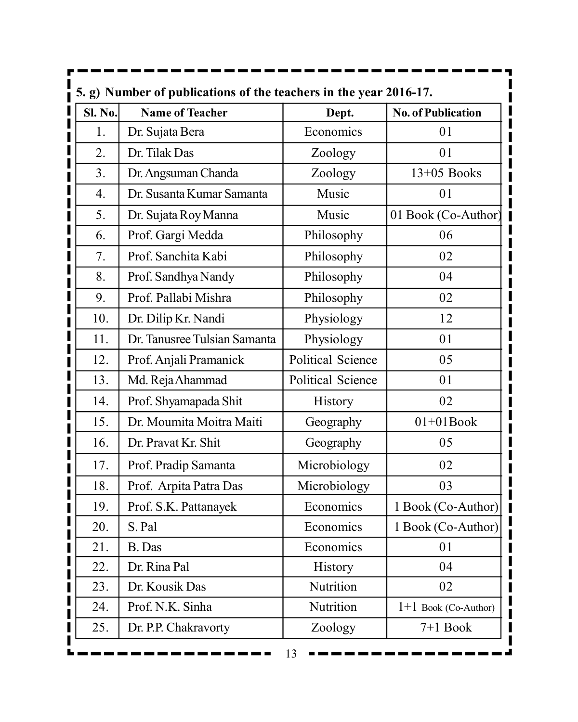|                    | 5. g) Number of publications of the teachers in the year 2016-17. |                          |                           |
|--------------------|-------------------------------------------------------------------|--------------------------|---------------------------|
| <b>Sl. No.</b>     | <b>Name of Teacher</b>                                            | Dept.                    | <b>No. of Publication</b> |
| 1.<br>I            | Dr. Sujata Bera                                                   | Economics                | 01                        |
| 2.                 | Dr. Tilak Das                                                     | Zoology                  | 01                        |
| 3.                 | Dr. Angsuman Chanda                                               | Zoology                  | 13+05 Books               |
| $\overline{4}$ .   | Dr. Susanta Kumar Samanta                                         | Music                    | 01                        |
| 5.                 | Dr. Sujata Roy Manna                                              | Music                    | 01 Book (Co-Author)       |
| 6.                 | Prof. Gargi Medda                                                 | Philosophy               | 06                        |
| 7.                 | Prof. Sanchita Kabi                                               | Philosophy               | 02                        |
| 8.<br>Ī            | Prof. Sandhya Nandy                                               | Philosophy               | 04                        |
| 9.                 | Prof. Pallabi Mishra                                              | Philosophy               | 02                        |
| 10.                | Dr. Dilip Kr. Nandi                                               | Physiology               | 12                        |
| 11.                | Dr. Tanusree Tulsian Samanta                                      | Physiology               | 01                        |
| 12.                | Prof. Anjali Pramanick                                            | <b>Political Science</b> | 05                        |
| 13.                | Md. Reja Ahammad                                                  | Political Science        | 01                        |
| $\mathbf i$<br>14. | Prof. Shyamapada Shit                                             | <b>History</b>           | 02                        |
| 15.                | Dr. Moumita Moitra Maiti                                          | Geography                | $01+01$ Book              |
| 16.                | Dr. Pravat Kr. Shit                                               | Geography                | 05                        |
| 17.                | Prof. Pradip Samanta                                              | Microbiology             | 02                        |
| 18.                | Prof. Arpita Patra Das                                            | Microbiology             | 03                        |
| 19.                | Prof. S.K. Pattanayek                                             | Economics                | 1 Book (Co-Author)        |
| <br> <br>20.       | S. Pal                                                            | Economics                | 1 Book (Co-Author)        |
| I<br>21.           | B. Das                                                            | Economics                | 01                        |
| I<br>22.<br>I      | Dr. Rina Pal                                                      | <b>History</b>           | 04                        |
| <br> <br>23.       | Dr. Kousik Das                                                    | Nutrition                | 02                        |
| 24.                | Prof. N.K. Sinha                                                  | Nutrition                | $1+1$ Book (Co-Author)    |
| 25.                | Dr. P.P. Chakravorty                                              | Zoology                  | $7+1$ Book                |
|                    |                                                                   | 13                       |                           |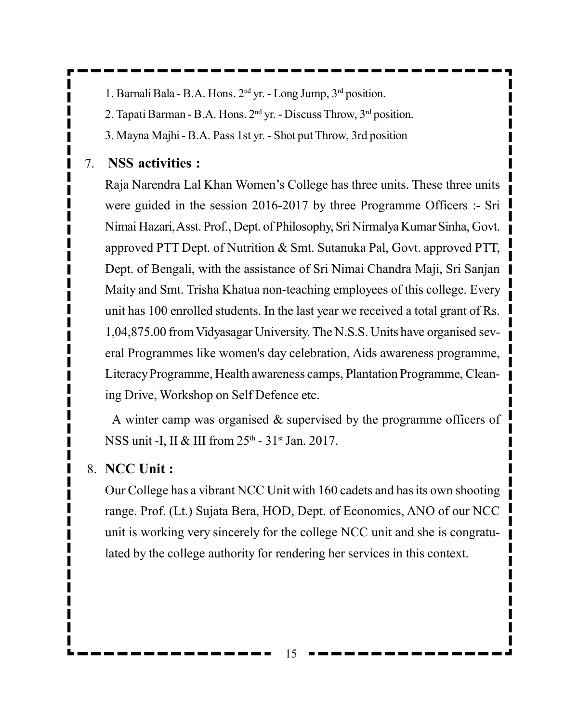1. Barnali Bala - B.A. Hons. 2nd yr. - Long Jump, 3rd position.

2. Tapati Barman - B.A. Hons. 2nd yr. - Discuss Throw, 3rd position.

3. Mayna Majhi - B.A. Pass 1st yr. - Shot put Throw, 3rd position

#### 7. **NSS activities :**

Raja Narendra Lal Khan Women's College has three units. These three units were guided in the session 2016-2017 by three Programme Officers :- Sri Nimai Hazari, Asst. Prof., Dept. of Philosophy, Sri Nirmalya Kumar Sinha, Govt. approved PTT Dept. of Nutrition & Smt. Sutanuka Pal, Govt. approved PTT, Dept. of Bengali, with the assistance of Sri Nimai Chandra Maji, Sri Sanjan Maity and Smt. Trisha Khatua non-teaching employees of this college. Every unit has 100 enrolled students. In the last year we received a total grant of Rs. 1,04,875.00 from Vidyasagar University. The N.S.S. Units have organised several Programmes like women's day celebration, Aids awareness programme, Literacy Programme, Health awareness camps, Plantation Programme, Cleaning Drive, Workshop on Self Defence etc.

A winter camp was organised & supervised by the programme officers of NSS unit -I, II & III from 25<sup>th</sup> - 31<sup>st</sup> Jan. 2017.

#### 8. **NCC Unit :**

Our College has a vibrant NCC Unit with 160 cadets and has its own shooting range. Prof. (Lt.) Sujata Bera, HOD, Dept. of Economics, ANO of our NCC unit is working very sincerely for the college NCC unit and she is congratulated by the college authority for rendering her services in this context.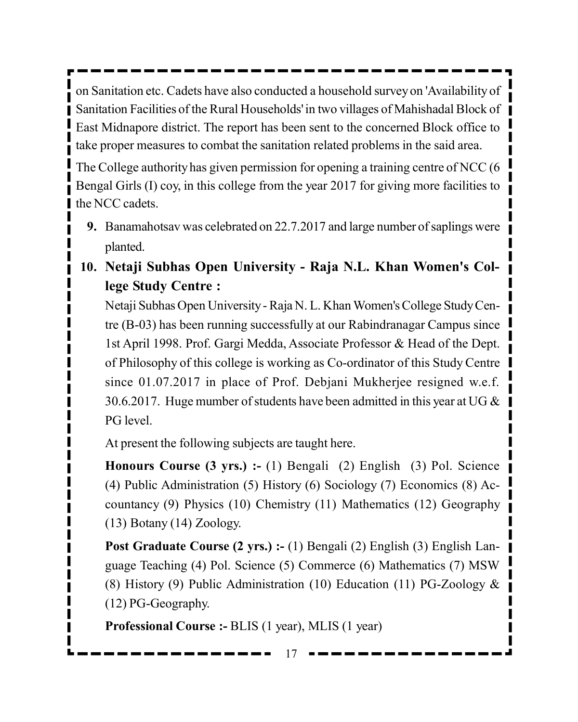on Sanitation etc. Cadets have also conducted a household survey on 'Availability of Sanitation Facilities of the Rural Households' in two villages of Mahishadal Block of East Midnapore district. The report has been sent to the concerned Block office to take proper measures to combat the sanitation related problems in the said area.

The College authority has given permission for opening a training centre of NCC (6 Bengal Girls (I) coy, in this college from the year 2017 for giving more facilities to the NCC cadets.

- **9.** Banamahotsav was celebrated on 22.7.2017 and large number of saplings were planted.
- **10. Netaji Subhas Open University Raja N.L. Khan Women's College Study Centre :**

Netaji Subhas Open University - Raja N. L. Khan Women's College Study Centre (B-03) has been running successfully at our Rabindranagar Campus since 1st April 1998. Prof. Gargi Medda, Associate Professor & Head of the Dept. of Philosophy of this college is working as Co-ordinator of this Study Centre since 01.07.2017 in place of Prof. Debjani Mukherjee resigned w.e.f. 30.6.2017. Huge mumber of students have been admitted in this year at UG  $\&$ PG level.

At present the following subjects are taught here.

**Honours Course (3 yrs.) :-** (1) Bengali (2) English (3) Pol. Science (4) Public Administration (5) History (6) Sociology (7) Economics (8) Accountancy (9) Physics (10) Chemistry (11) Mathematics (12) Geography (13) Botany (14) Zoology.

**Post Graduate Course (2 yrs.) :- (1) Bengali (2) English (3) English Lan**guage Teaching (4) Pol. Science (5) Commerce (6) Mathematics (7) MSW (8) History (9) Public Administration (10) Education (11) PG-Zoology & (12) PG-Geography.

**Professional Course :-** BLIS (1 year), MLIS (1 year)

17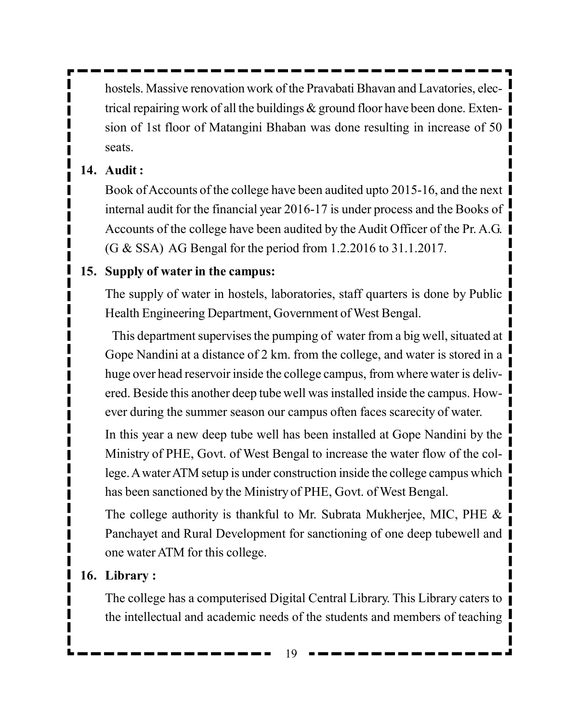hostels. Massive renovation work of the Pravabati Bhavan and Lavatories, electrical repairing work of all the buildings & ground floor have been done. Extension of 1st floor of Matangini Bhaban was done resulting in increase of 50 seats.

#### **14. Audit :**

Book of Accounts of the college have been audited upto 2015-16, and the next internal audit for the financial year 2016-17 is under process and the Books of Accounts of the college have been audited by the Audit Officer of the Pr. A.G. (G & SSA) AG Bengal for the period from 1.2.2016 to 31.1.2017.

#### **15. Supply of water in the campus:**

The supply of water in hostels, laboratories, staff quarters is done by Public Health Engineering Department, Government of West Bengal.

This department supervises the pumping of water from a big well, situated at Gope Nandini at a distance of 2 km. from the college, and water is stored in a huge over head reservoir inside the college campus, from where water is delivered. Beside this another deep tube well was installed inside the campus. However during the summer season our campus often faces scarecity of water.

In this year a new deep tube well has been installed at Gope Nandini by the Ministry of PHE, Govt. of West Bengal to increase the water flow of the college. A water ATM setup is under construction inside the college campus which has been sanctioned by the Ministry of PHE, Govt. of West Bengal.

The college authority is thankful to Mr. Subrata Mukherjee, MIC, PHE & Panchayet and Rural Development for sanctioning of one deep tubewell and one water ATM for this college.

#### **16. Library :**

The college has a computerised Digital Central Library. This Library caters to the intellectual and academic needs of the students and members of teaching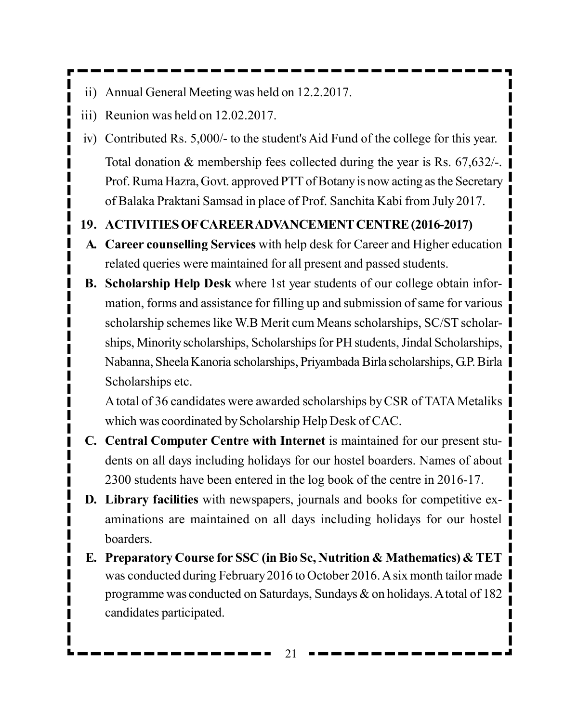- ii) Annual General Meeting was held on 12.2.2017.
- iii) Reunion was held on 12.02.2017.
- iv) Contributed Rs. 5,000/- to the student's Aid Fund of the college for this year. Total donation & membership fees collected during the year is Rs. 67,632/-. Prof. Ruma Hazra, Govt. approved PTT of Botany is now acting as the Secretary of Balaka Praktani Samsad in place of Prof. Sanchita Kabi from July 2017.

#### **19. ACTIVITIES OF CAREER ADVANCEMENT CENTRE (2016-2017)**

- **A. Career counselling Services** with help desk for Career and Higher education related queries were maintained for all present and passed students.
- **B. Scholarship Help Desk** where 1st year students of our college obtain information, forms and assistance for filling up and submission of same for various scholarship schemes like W.B Merit cum Means scholarships, SC/ST scholarships, Minority scholarships, Scholarships for PH students, Jindal Scholarships, Nabanna, Sheela Kanoria scholarships, Priyambada Birla scholarships, G.P. Birla Scholarships etc.

A total of 36 candidates were awarded scholarships by CSR of TATA Metaliks which was coordinated by Scholarship Help Desk of CAC.

- **C. Central Computer Centre with Internet** is maintained for our present students on all days including holidays for our hostel boarders. Names of about 2300 students have been entered in the log book of the centre in 2016-17.
- **D. Library facilities** with newspapers, journals and books for competitive examinations are maintained on all days including holidays for our hostel **boarders**
- **E. Preparatory Course for SSC (in Bio Sc, Nutrition & Mathematics) & TET** was conducted during February 2016 to October 2016. A six month tailor made programme was conducted on Saturdays, Sundays & on holidays. A total of 182 candidates participated.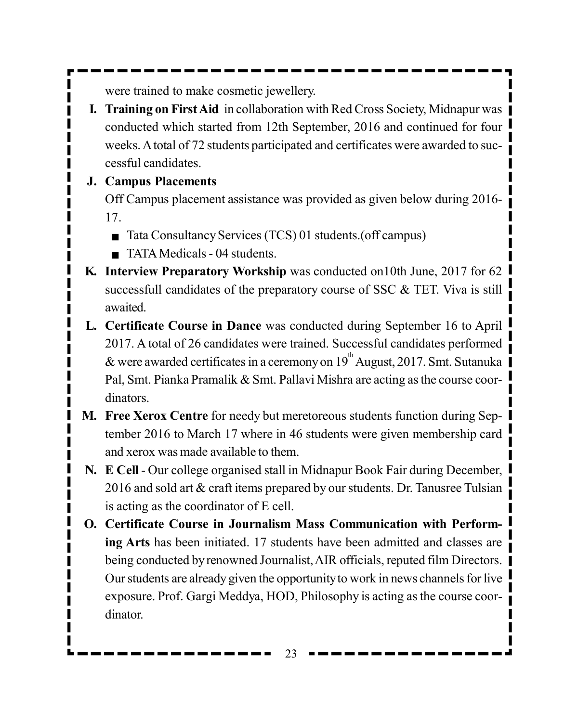were trained to make cosmetic jewellery.

**I. Training on First Aid** in collaboration with Red Cross Society, Midnapur was conducted which started from 12th September, 2016 and continued for four weeks. A total of 72 students participated and certificates were awarded to successful candidates.

#### **J. Campus Placements**

Off Campus placement assistance was provided as given below during 2016- 17.

- Tata Consultancy Services (TCS) 01 students.(off campus)
- TATA Medicals 04 students.
- **K. Interview Preparatory Workship** was conducted on10th June, 2017 for 62 successfull candidates of the preparatory course of SSC & TET. Viva is still awaited.
- **L. Certificate Course in Dance** was conducted during September 16 to April 2017. A total of 26 candidates were trained. Successful candidates performed & were awarded certificates in a ceremony on  $19<sup>th</sup>$  August, 2017. Smt. Sutanuka Pal, Smt. Pianka Pramalik & Smt. Pallavi Mishra are acting as the course coordinators.
- **M. Free Xerox Centre** for needy but meretoreous students function during September 2016 to March 17 where in 46 students were given membership card and xerox was made available to them.
- **N. E Cell** Our college organised stall in Midnapur Book Fair during December, 2016 and sold art & craft items prepared by our students. Dr. Tanusree Tulsian is acting as the coordinator of E cell.
- **O. Certificate Course in Journalism Mass Communication with Performing Arts** has been initiated. 17 students have been admitted and classes are being conducted by renowned Journalist, AIR officials, reputed film Directors. Our students are already given the opportunity to work in news channels for live exposure. Prof. Gargi Meddya, HOD, Philosophy is acting as the course coordinator.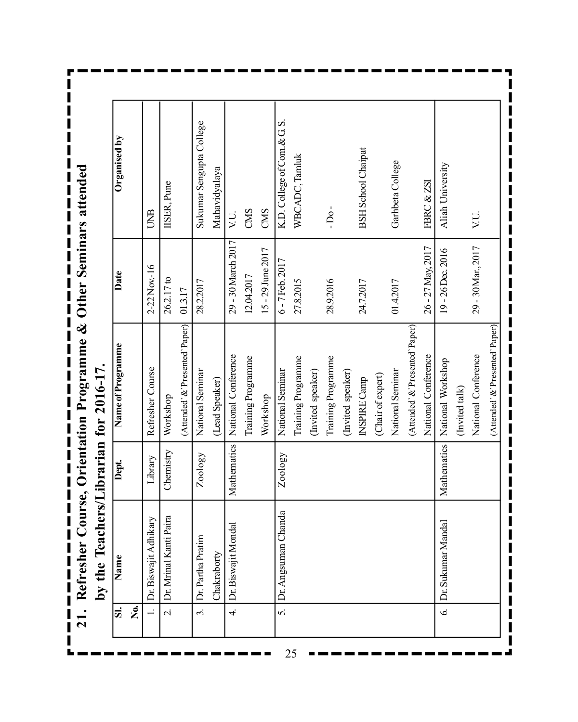21. Refresher Course, Orientation Programme & Other Seminars attended **21. Refresher Course, Orientation Programme & Other Seminars attended**

by the Teachers/Librarian for 2016-17. **by the Teachers/Librarian for 2016-17.**

| <u>si</u>                | Name                           | Dept.       | Name of Programme               | Date               | Organised by                |
|--------------------------|--------------------------------|-------------|---------------------------------|--------------------|-----------------------------|
| فع<br>ا                  |                                |             |                                 |                    |                             |
|                          | $\sum$<br>Dr. Biswajit Adhikar | Library     | Refresher Course                | 2-22 Nov.-16       | <b>UNB</b>                  |
| $\overline{\mathcal{C}}$ | ra<br>Dr. Mrinal Kanti Pai     | Chemistry   | Workshop                        | 26.2.17 to         | IISER, Pune                 |
|                          |                                |             | (Attended' &'Presented'Paper)   | 01.3.17            |                             |
| $\ddot{\mathcal{E}}$     | Dr. Partha Pratim              | Zoology     | National Seminar                | 28.2.2017          | Sukumar Sengupta College    |
|                          | Chakraborty                    |             | (Lead Speaker)                  |                    | Mahavidyalaya               |
| 4.                       | Dr. Biswajit Mondal            | Mathematics | National Conference             | 29 - 30 March 2017 | VU.                         |
|                          |                                |             | Training Programme              | 12.04.2017         | CMS                         |
|                          |                                |             | Workshop                        | 15 - 29 June 2017  | CMS                         |
| S.                       | Dr. Angsuman Chanda            | Zoology     | National Seminar                | 6 - 7 Feb. 2017    | K.D. College of Com. & G.S. |
|                          |                                |             | Training Programme              | 27.8.2015          | WBCADC, Tamluk              |
|                          |                                |             | (Invited speaker)               |                    |                             |
|                          |                                |             | Training Programme              | 28.9.2016          | $-DO-$                      |
|                          |                                |             | (Invited speaker)               |                    |                             |
|                          |                                |             | <b>INSPIRE Camp</b>             | 24.7.2017          | <b>BSH</b> School Chaipat   |
|                          |                                |             | (Chair of expert)               |                    |                             |
|                          |                                |             | National Seminar                | 01.4.2017          | Garhbeta College            |
|                          |                                |             | (Attended' &'Presented'Paper)   |                    |                             |
|                          |                                |             | National Conference             | 26 - 27 May, 2017  | FBRC & ZSI                  |
| $\mathbf{c}$             | Dr. Sukumar Manda              | Mathematics | National Workshop               | 19-26 Dec. 2016    | Aliah University            |
|                          |                                |             | (Invited talk)                  |                    |                             |
|                          |                                |             | National Conference             | 29 - 30 Mar., 2017 | VU.                         |
|                          |                                |             | (Attended' & 'Presented' Paper) |                    |                             |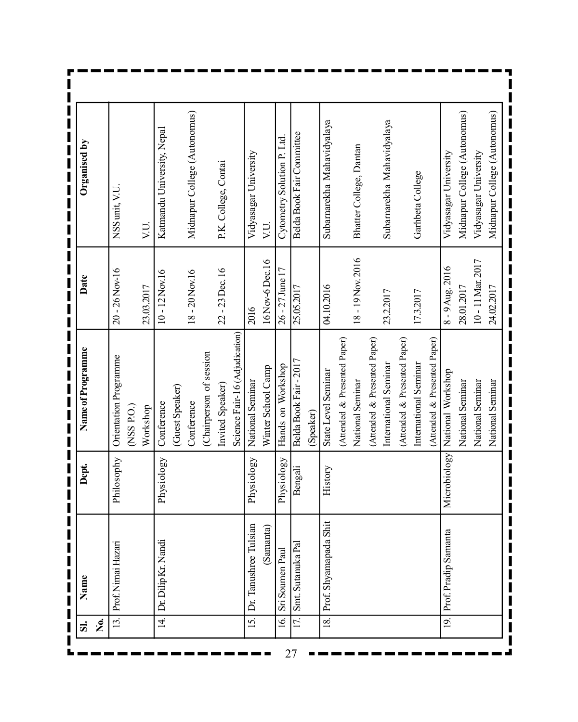| Name               |                       | Dept         | Name of Programme              | Date              | Organised by                 |
|--------------------|-----------------------|--------------|--------------------------------|-------------------|------------------------------|
|                    |                       |              |                                |                   |                              |
| Prof. Nimai Hazari |                       | Philosophy   | Orientation Programme          | $20 - 26$ Nov-16  | NSS unit, V.U                |
|                    |                       |              | $($ NSS P.O. $)$               |                   |                              |
|                    |                       |              | Workshop                       | 23.03.2017        | VU.                          |
|                    | Dr. Dilip Kr. Nandi   | Physiology   | Conference                     | $10 - 12$ Nov.16  | Katmandu University, Nepal   |
|                    |                       |              | (Guest Speaker)                |                   |                              |
|                    |                       |              | Conference                     | $18 - 20$ Nov.16  | Midnapur College (Autonomus) |
|                    |                       |              | (Chairperson of session        |                   |                              |
|                    |                       |              | Invited Speaker)               | 22 - 23 Dec. 16   | P.K. College, Contai         |
|                    |                       |              | Science Fair-16 (Adjudication) |                   |                              |
|                    | Dr. Tanushree Tulsian | Physiology   | National Seminar               | 2016              | Vidyasagar University        |
|                    | Samanta)              |              | Winter School Camp             | 16Nov-6Dec.16     | VU.                          |
|                    | Sri Soumen Paul       | Physiology   | Hands on Workshop              | 26 - 27 June 17   | Cytometry Solution P. Ltd    |
|                    | Smt. Sutanuka Pal     | Bengali      | Belda Book Fair-2017           | 25.05.2017        | Belda Book Fair Committee    |
|                    |                       |              | (Speaker)                      |                   |                              |
|                    | Prof. Shyamapada Shit | History      | State Level Seminar            | 04.10.2016        | Subamarekha Mahavidyalaya    |
|                    |                       |              | (Attended & Presented Paper)   |                   |                              |
|                    |                       |              | National Seminar               | 18 - 19 Nov. 2016 | Bhatter College, Dantan      |
|                    |                       |              | (Attended & Presented Paper)   |                   |                              |
|                    |                       |              | International Seminar          | 23.2.2017         | Subarnarekha Mahavidyalaya   |
|                    |                       |              | (Attended & Presented Paper)   |                   |                              |
|                    |                       |              | International Seminar          | 17.3.2017         | Garhbeta College             |
|                    |                       |              | (Attended & Presented Paper)   |                   |                              |
|                    | Prof. Pradip Samanta  | Microbiology | National Workshop              | 8 - 9 Aug. 2016   | Vidyasagar University        |
|                    |                       |              | National Seminar               | 28.01.2017        | Midnapur College (Autonomus) |
|                    |                       |              | National Seminar               | 10 - 11 Mar. 2017 | Vidyasagar University        |
|                    |                       |              | National Seminar               | 24.02.2017        | Midnapur College (Autonomus) |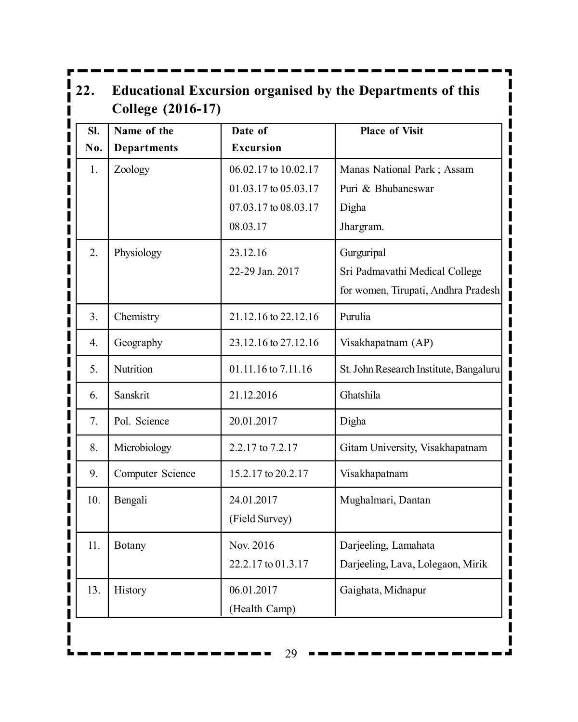| SI. | Name of the        | Date of              | <b>Place of Visit</b>                  |
|-----|--------------------|----------------------|----------------------------------------|
| No. | <b>Departments</b> | <b>Excursion</b>     |                                        |
| 1.  | Zoology            | 06.02.17 to 10.02.17 | Manas National Park; Assam             |
|     |                    | 01.03.17 to 05.03.17 | Puri & Bhubaneswar                     |
|     |                    | 07.03.17 to 08.03.17 | Digha                                  |
|     |                    | 08.03.17             | Jhargram.                              |
| 2.  | Physiology         | 23.12.16             | Gurguripal                             |
|     |                    | 22-29 Jan. 2017      | Sri Padmavathi Medical College         |
|     |                    |                      | for women, Tirupati, Andhra Pradesh    |
| 3.  | Chemistry          | 21.12.16 to 22.12.16 | Purulia                                |
| 4.  | Geography          | 23.12.16 to 27.12.16 | Visakhapatnam (AP)                     |
| 5.  | Nutrition          | 01.11.16 to 7.11.16  | St. John Research Institute, Bangaluru |
| 6.  | Sanskrit           | 21.12.2016           | Ghatshila                              |
| 7.  | Pol. Science       | 20.01.2017           | Digha                                  |
| 8.  | Microbiology       | 2.2.17 to 7.2.17     | Gitam University, Visakhapatnam        |
| 9.  | Computer Science   | 15.2.17 to 20.2.17   | Visakhapatnam                          |
| 10. | Bengali            | 24.01.2017           | Mughalmari, Dantan                     |
|     |                    | (Field Survey)       |                                        |
| 11. | <b>Botany</b>      | Nov. 2016            | Darjeeling, Lamahata                   |
|     |                    | 22.2.17 to 01.3.17   | Darjeeling, Lava, Lolegaon, Mirik      |
| 13. | History            | 06.01.2017           | Gaighata, Midnapur                     |
|     |                    | (Health Camp)        |                                        |

 $29 - -$ 

 $\blacksquare$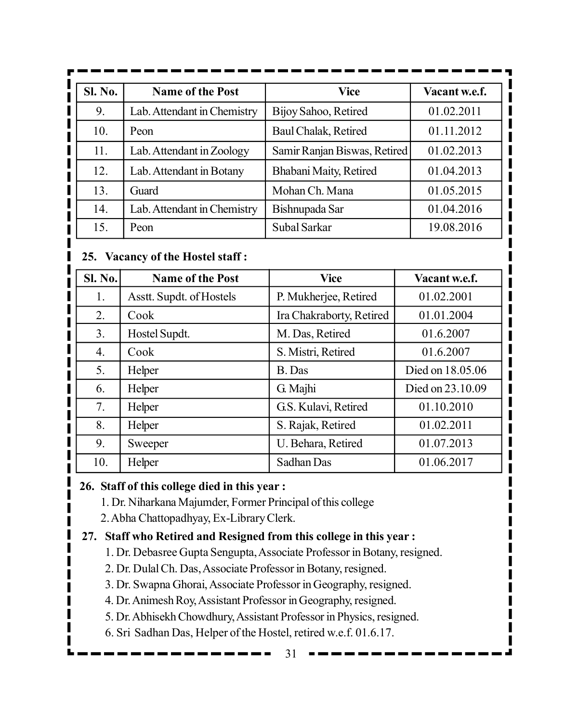| Sl. No. | <b>Name of the Post</b>     | Vice                         | Vacant w.e.f. |
|---------|-----------------------------|------------------------------|---------------|
| 9.      | Lab. Attendant in Chemistry | Bijoy Sahoo, Retired         | 01.02.2011    |
| 10.     | Peon                        | Baul Chalak, Retired         | 01.11.2012    |
| 11.     | Lab. Attendant in Zoology   | Samir Ranjan Biswas, Retired | 01.02.2013    |
| 12.     | Lab. Attendant in Botany    | Bhabani Maity, Retired       | 01.04.2013    |
| 13.     | Guard                       | Mohan Ch. Mana               | 01.05.2015    |
| 14.     | Lab. Attendant in Chemistry | Bishnupada Sar               | 01.04.2016    |
| 15.     | Peon                        | Subal Sarkar                 | 19.08.2016    |

#### **25. Vacancy of the Hostel staff :**

| <b>Sl. No.</b> | <b>Name of the Post</b>  | <b>Vice</b>              | Vacant w.e.f.    |
|----------------|--------------------------|--------------------------|------------------|
| 1.             | Asstt. Supdt. of Hostels | P. Mukherjee, Retired    | 01.02.2001       |
| 2.             | Cook                     | Ira Chakraborty, Retired | 01.01.2004       |
| 3.             | Hostel Supdt.            | M. Das, Retired          | 01.6.2007        |
| 4.             | Cook                     | S. Mistri, Retired       | 01.6.2007        |
| 5.             | Helper                   | B. Das                   | Died on 18.05.06 |
| 6.             | Helper                   | G. Majhi                 | Died on 23.10.09 |
| 7.             | Helper                   | G.S. Kulavi, Retired     | 01.10.2010       |
| 8.             | Helper                   | S. Rajak, Retired        | 01.02.2011       |
| 9.             | Sweeper                  | U. Behara, Retired       | 01.07.2013       |
| 10.            | Helper                   | Sadhan Das               | 01.06.2017       |

#### **26. Staff of this college died in this year :**

- 1. Dr. Niharkana Majumder, Former Principal of this college
- 2. Abha Chattopadhyay, Ex-Library Clerk.

#### **27. Staff who Retired and Resigned from this college in this year :**

- 1. Dr. Debasree Gupta Sengupta, Associate Professor in Botany, resigned.
- 2. Dr. Dulal Ch. Das, Associate Professor in Botany, resigned.
- 3. Dr. Swapna Ghorai, Associate Professor in Geography, resigned.
- 4. Dr. Animesh Roy, Assistant Professor in Geography, resigned.
- 5. Dr. Abhisekh Chowdhury, Assistant Professor in Physics, resigned.
- 6. Sri Sadhan Das, Helper of the Hostel, retired w.e.f. 01.6.17.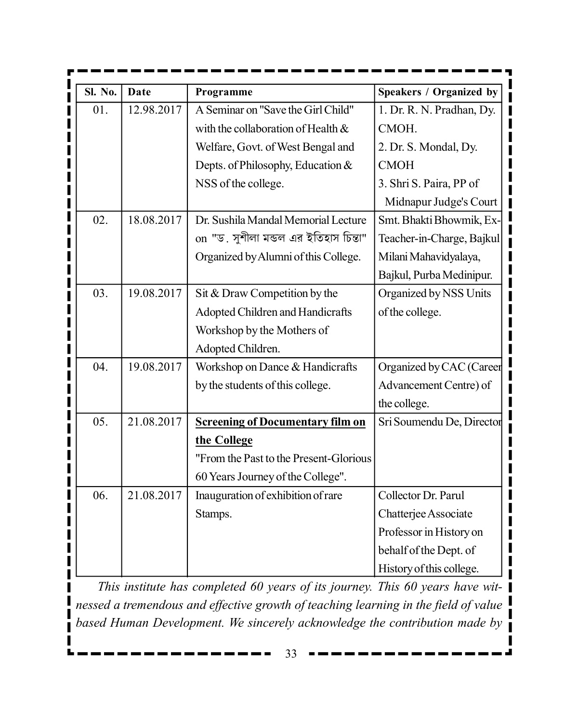| <b>Sl. No.</b> | <b>Date</b> | Programme                               | Speakers / Organized by   |
|----------------|-------------|-----------------------------------------|---------------------------|
| 01.            | 12.98.2017  | A Seminar on "Save the Girl Child"      | 1. Dr. R. N. Pradhan, Dy. |
|                |             | with the collaboration of Health &      | CMOH.                     |
|                |             | Welfare, Govt. of West Bengal and       | 2. Dr. S. Mondal, Dy.     |
|                |             | Depts. of Philosophy, Education &       | <b>CMOH</b>               |
|                |             | NSS of the college.                     | 3. Shri S. Paira, PP of   |
|                |             |                                         | Midnapur Judge's Court    |
| 02.            | 18.08.2017  | Dr. Sushila Mandal Memorial Lecture     | Smt. Bhakti Bhowmik, Ex-  |
|                |             | on "ড. সুশীলা মন্ডল এর ইতিহাস চিন্তা"   | Teacher-in-Charge, Bajkul |
|                |             | Organized by Alumni of this College.    | Milani Mahavidyalaya,     |
|                |             |                                         | Bajkul, Purba Medinipur.  |
| 03.            | 19.08.2017  | Sit & Draw Competition by the           | Organized by NSS Units    |
|                |             | Adopted Children and Handicrafts        | of the college.           |
|                |             | Workshop by the Mothers of              |                           |
|                |             | Adopted Children.                       |                           |
| 04.            | 19.08.2017  | Workshop on Dance & Handicrafts         | Organized by CAC (Career  |
|                |             | by the students of this college.        | Advancement Centre) of    |
|                |             |                                         | the college.              |
| 05.            | 21.08.2017  | <b>Screening of Documentary film on</b> | Sri Soumendu De, Director |
|                |             | the College                             |                           |
|                |             | "From the Past to the Present-Glorious  |                           |
|                |             | 60 Years Journey of the College".       |                           |
| 06.            | 21.08.2017  | Inauguration of exhibition of rare      | Collector Dr. Parul       |
|                |             | Stamps.                                 | Chatterjee Associate      |
|                |             |                                         | Professor in History on   |
|                |             |                                         | behalf of the Dept. of    |
|                |             |                                         | History of this college.  |

*This institute has completed 60 years of its journey. This 60 years have witnessed a tremendous and effective growth of teaching learning in the field of value based Human Development. We sincerely acknowledge the contribution made by*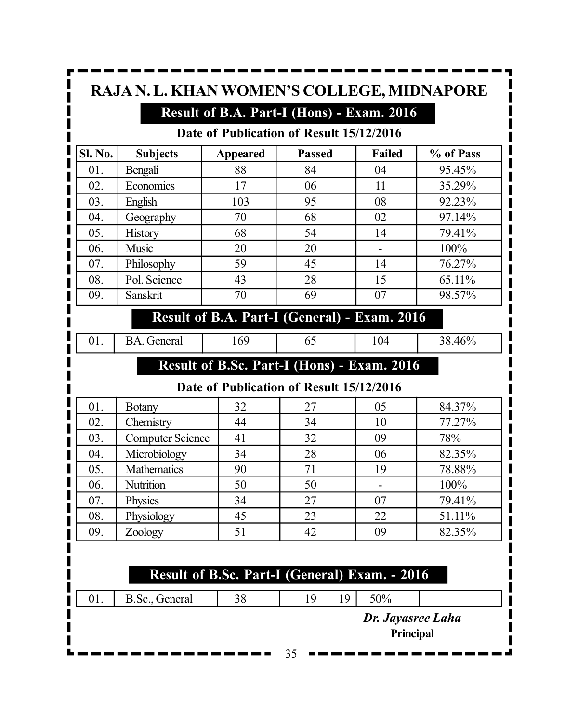| RAJA N. L. KHAN WOMEN'S COLLEGE, MIDNAPORE<br>Result of B.A. Part-I (Hons) - Exam. 2016<br>Date of Publication of Result 15/12/2016 |                 |                 |               |               |           |  |
|-------------------------------------------------------------------------------------------------------------------------------------|-----------------|-----------------|---------------|---------------|-----------|--|
| Sl. No.                                                                                                                             | <b>Subjects</b> | <b>Appeared</b> | <b>Passed</b> | <b>Failed</b> | % of Pass |  |
| 01.                                                                                                                                 | Bengali         | 88              | 84            | 04            | 95.45%    |  |
| 02.                                                                                                                                 | Economics       | 17              | 06            | 11            | 35.29%    |  |
| 03.                                                                                                                                 | English         | 103             | 95            | 08            | 92.23%    |  |
| 04.                                                                                                                                 | Geography       | 70              | 68            | 02            | 97.14%    |  |
| 05.                                                                                                                                 | <b>History</b>  | 68              | 54            | 14            | 79.41%    |  |
| 06.                                                                                                                                 | Music           | 20              | 20            |               | 100%      |  |
| 07.                                                                                                                                 | Philosophy      | 59              | 45            | 14            | 76.27%    |  |
| 08.                                                                                                                                 | Pol. Science    | 43              | 28            | 15            | 65.11%    |  |
| 09.                                                                                                                                 | <b>Sanskrit</b> | 70              | 69            | 07            | 98.57%    |  |

#### **Result of B.A. Part-I (General) - Exam. 2016**

01. BA. General 169 65 104 38.46%

# **Result of B.Sc. Part-I (Hons) - Exam. 2016**

#### **Date of Publication of Result 15/12/2016**

| 01. | <b>Botany</b>           | 32 | 27 | 05 | 84.37% |
|-----|-------------------------|----|----|----|--------|
| 02. | Chemistry               | 44 | 34 | 10 | 77.27% |
| 03. | <b>Computer Science</b> | 41 | 32 | 09 | 78%    |
| 04. | Microbiology            | 34 | 28 | 06 | 82.35% |
| 05. | Mathematics             | 90 | 71 | 19 | 78.88% |
| 06. | Nutrition               | 50 | 50 |    | 100%   |
| 07. | Physics                 | 34 | 27 | 07 | 79.41% |
| 08. | Physiology              | 45 | 23 | 22 | 51.11% |
| 09. | Zoology                 | 51 | 42 | 09 | 82.35% |

# **Result of B.Sc. Part-I (General) Exam. - 2016**

01. B.Sc., General 38 19 19 50%

*Dr. Jayasree Laha* **Principal**